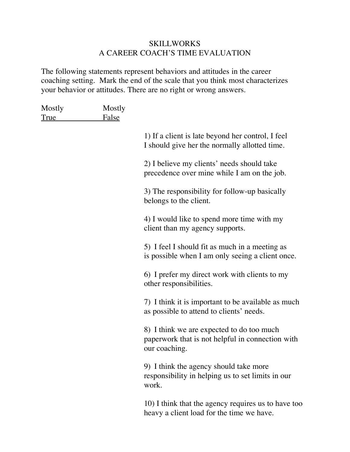## **SKILLWORKS** A CAREER COACH'S TIME EVALUATION

The following statements represent behaviors and attitudes in the career coaching setting. Mark the end of the scale that you think most characterizes your behavior or attitudes. There are no right or wrong answers.

| Mostly<br>True | Mostly<br><b>False</b> |                                                                                                                |
|----------------|------------------------|----------------------------------------------------------------------------------------------------------------|
|                |                        | 1) If a client is late beyond her control, I feel<br>I should give her the normally allotted time.             |
|                |                        | 2) I believe my clients' needs should take<br>precedence over mine while I am on the job.                      |
|                |                        | 3) The responsibility for follow-up basically<br>belongs to the client.                                        |
|                |                        | 4) I would like to spend more time with my<br>client than my agency supports.                                  |
|                |                        | 5) I feel I should fit as much in a meeting as<br>is possible when I am only seeing a client once.             |
|                |                        | 6) I prefer my direct work with clients to my<br>other responsibilities.                                       |
|                |                        | 7) I think it is important to be available as much<br>as possible to attend to clients' needs.                 |
|                |                        | 8) I think we are expected to do too much<br>paperwork that is not helpful in connection with<br>our coaching. |
|                |                        | 9) I think the agency should take more<br>responsibility in helping us to set limits in our<br>work.           |
|                |                        | 10) I think that the agency requires us to have too<br>heavy a client load for the time we have.               |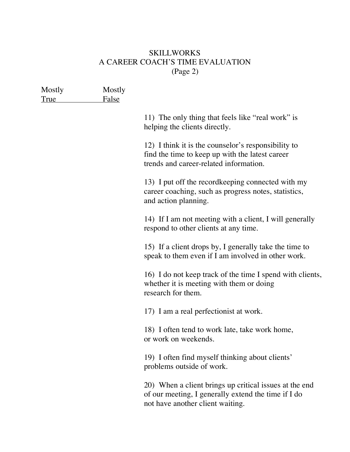## **SKILLWORKS** A CAREER COACH'S TIME EVALUATION (Page 2)

| Mostly<br><u>True</u> | Mostly<br><b>False</b> |                                                                                                                                                   |
|-----------------------|------------------------|---------------------------------------------------------------------------------------------------------------------------------------------------|
|                       |                        | 11) The only thing that feels like "real work" is<br>helping the clients directly.                                                                |
|                       |                        | 12) I think it is the counselor's responsibility to<br>find the time to keep up with the latest career<br>trends and career-related information.  |
|                       |                        | 13) I put off the record keeping connected with my<br>career coaching, such as progress notes, statistics,<br>and action planning.                |
|                       |                        | 14) If I am not meeting with a client, I will generally<br>respond to other clients at any time.                                                  |
|                       |                        | 15) If a client drops by, I generally take the time to<br>speak to them even if I am involved in other work.                                      |
|                       |                        | 16) I do not keep track of the time I spend with clients,<br>whether it is meeting with them or doing<br>research for them.                       |
|                       |                        | 17) I am a real perfectionist at work.                                                                                                            |
|                       |                        | 18) I often tend to work late, take work home,<br>or work on weekends.                                                                            |
|                       |                        | 19) I often find myself thinking about clients'<br>problems outside of work.                                                                      |
|                       |                        | 20) When a client brings up critical issues at the end<br>of our meeting, I generally extend the time if I do<br>not have another client waiting. |